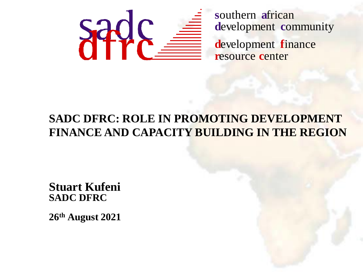

#### **SADC DFRC: ROLE IN PROMOTING DEVELOPMENT FINANCE AND CAPACITY BUILDING IN THE REGION**

**Stuart Kufeni SADC DFRC** 

26th August 2021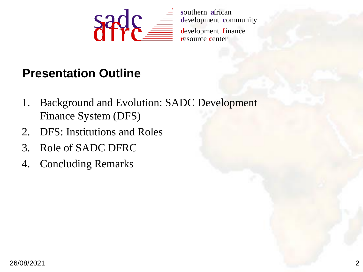

southern african development community

#### **Presentation Outline**

- **Background and Evolution: SADC Development** 1. Finance System (DFS)
- 2. DFS: Institutions and Roles
- 3. Role of SADC DFRC
- 4. Concluding Remarks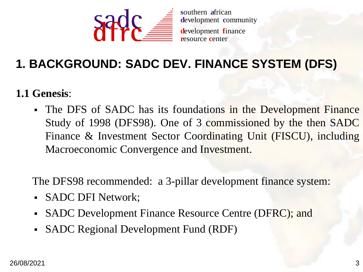

#### 1. BACKGROUND: SADC DEV. FINANCE SYSTEM (DFS)

1.1 Genesis:

• The DFS of SADC has its foundations in the Development Finance Study of 1998 (DFS98). One of 3 commissioned by the then SADC Finance & Investment Sector Coordinating Unit (FISCU), including Macroeconomic Convergence and Investment.

The DFS98 recommended: a 3-pillar development finance system:

- SADC DFI Network;
- SADC Development Finance Resource Centre (DFRC); and
- SADC Regional Development Fund (RDF)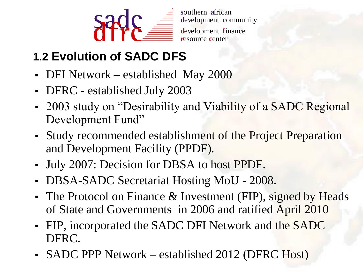

#### **1.2 Evolution of SADC DFS**

- DFI Network established May 2000
- DFRC established July 2003
- 2003 study on "Desirability and Viability of a SADC Regional Development Fund"
- Study recommended establishment of the Project Preparation and Development Facility (PPDF).
- July 2007: Decision for DBSA to host PPDF.
- DBSA-SADC Secretariat Hosting MoU 2008.
- The Protocol on Finance & Investment (FIP), signed by Heads of State and Governments in 2006 and ratified April 2010
- FIP, incorporated the SADC DFI Network and the SADC DFRC.
- SADC PPP Network established 2012 (DFRC Host)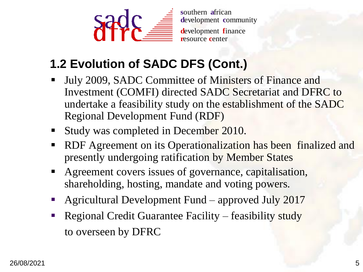

#### **1.2 Evolution of SADC DFS (Cont.)**

- July 2009, SADC Committee of Ministers of Finance and Investment (COMFI) directed SADC Secretariat and DFRC to undertake a feasibility study on the establishment of the SADC Regional Development Fund (RDF)
- Study was completed in December 2010.
- RDF Agreement on its Operationalization has been finalized and presently undergoing ratification by Member States
- Agreement covers issues of governance, capitalisation, shareholding, hosting, mandate and voting powers.
- Agricultural Development Fund approved July 2017
- Regional Credit Guarantee Facility feasibility study to overseen by DFRC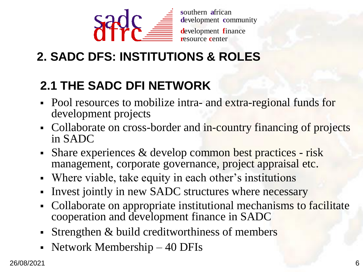

### 2. SADC DFS: INSTITUTIONS & ROLES

#### **2.1 THE SADC DFI NETWORK**

- Pool resources to mobilize intra- and extra-regional funds for development projects
- Collaborate on cross-border and in-country financing of projects in SADC
- Share experiences & develop common best practices risk  $\blacksquare$ management, corporate governance, project appraisal etc.
- Where viable, take equity in each other's institutions  $\blacksquare$
- Invest jointly in new SADC structures where necessary
- Collaborate on appropriate institutional mechanisms to facilitate  $\blacksquare$ cooperation and development finance in SADC
- Strengthen & build creditworthiness of members
- Network Membership 40 DFIs  $\blacksquare$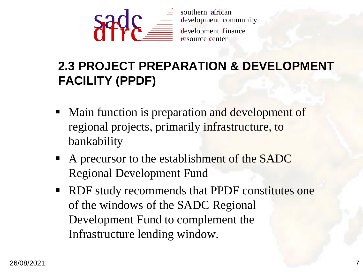

**<sup>s</sup>**outhern **a**frican **d**evelopment **c**ommunity **d**evelopment **f**inance

**r**esource **c**enter

#### **2.3 PROJECT PREPARATION & DEVELOPMENT FACILITY (PPDF)**

- Main function is preparation and development of regional projects, primarily infrastructure, to bankability
- A precursor to the establishment of the SADC Regional Development Fund
- RDF study recommends that PPDF constitutes one of the windows of the SADC Regional Development Fund to complement the Infrastructure lending window.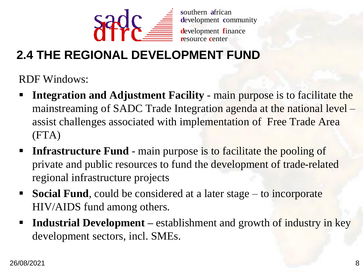

#### **2.4 THE REGIONAL DEVELOPMENT FUND**

**RDF Windows:** 

- **Integration and Adjustment Facility main purpose is to facilitate the** mainstreaming of SADC Trade Integration agenda at the national level assist challenges associated with implementation of Free Trade Area  $(FTA)$
- **Infrastructure Fund** main purpose is to facilitate the pooling of private and public resources to fund the development of trade-related regional infrastructure projects
- **Social Fund,** could be considered at a later stage to incorporate HIV/AIDS fund among others.
- **Industrial Development** establishment and growth of industry in key development sectors, incl. SMEs.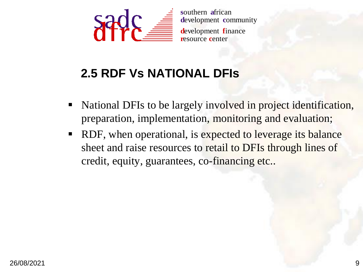

southern african development community resource center

#### **2.5 RDF Vs NATIONAL DFIS**

- National DFIs to be largely involved in project identification, preparation, implementation, monitoring and evaluation;
- RDF, when operational, is expected to leverage its balance  $\blacksquare$ sheet and raise resources to retail to DFIs through lines of credit, equity, guarantees, co-financing etc..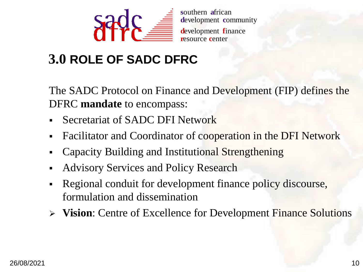

southern african development community resource center

#### 3.0 ROLE OF SADC DFRC

The SADC Protocol on Finance and Development (FIP) defines the DFRC mandate to encompass:

- Secretariat of SADC DFI Network
- Facilitator and Coordinator of cooperation in the DFI Network  $\blacksquare$
- Capacity Building and Institutional Strengthening
- **Advisory Services and Policy Research** ٠
- Regional conduit for development finance policy discourse,  $\blacksquare$ formulation and dissemination
- $\triangleright$  Vision: Centre of Excellence for Development Finance Solutions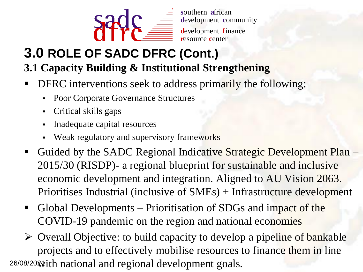

**<sup>s</sup>**outhern **a**frican **d**evelopment **c**ommunity

**d**evelopment **f**inance **r**esource **c**enter

# **3.0 ROLE OF SADC DFRC (Cont.)**

**3.1 Capacity Building & Institutional Strengthening**

- **DFRC** interventions seek to address primarily the following:
	- Poor Corporate Governance Structures
	- Critical skills gaps
	- Inadequate capital resources
	- Weak regulatory and supervisory frameworks
- Guided by the SADC Regional Indicative Strategic Development Plan 2015/30 (RISDP)- a regional blueprint for sustainable and inclusive economic development and integration. Aligned to AU Vision 2063. Prioritises Industrial (inclusive of SMEs) + Infrastructure development
- Global Developments Prioritisation of SDGs and impact of the COVID-19 pandemic on the region and national economies
- $\triangleright$  Overall Objective: to build capacity to develop a pipeline of bankable projects and to effectively mobilise resources to finance them in line 26/08/2020 with national and regional development goals.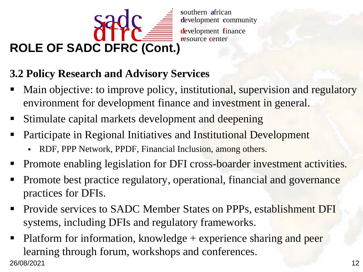

#### **3.2 Policy Research and Advisory Services**

- Main objective: to improve policy, institutional, supervision and regulatory  $\blacksquare$ environment for development finance and investment in general.
- Stimulate capital markets development and deepening  $\blacksquare$
- Participate in Regional Initiatives and Institutional Development
	- RDF, PPP Network, PPDF, Financial Inclusion, among others.
- Promote enabling legislation for DFI cross-boarder investment activities.
- Promote best practice regulatory, operational, financial and governance  $\begin{array}{c} \hline \end{array}$ practices for DFIs.
- Provide services to SADC Member States on PPPs, establishment DFI  $\blacksquare$ systems, including DFIs and regulatory frameworks.
- Platform for information, knowledge  $+$  experience sharing and peer  $\blacksquare$ learning through forum, workshops and conferences. 26/08/2021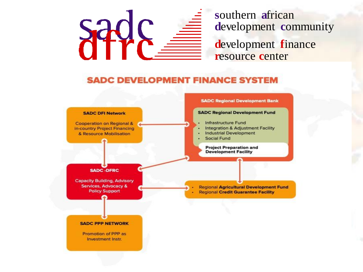# Sad!

southern african development community development finance resource center

#### **SADC DEVELOPMENT FINANCE SYSTEM**

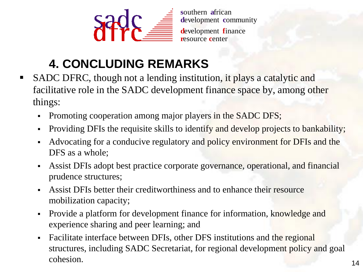

## **4. CONCLUDING REMARKS**

- SADC DFRC, though not a lending institution, it plays a catalytic and  $\blacksquare$ facilitative role in the SADC development finance space by, among other things:
	- Promoting cooperation among major players in the SADC DFS;  $\blacksquare$
	- Providing DFIs the requisite skills to identify and develop projects to bankability;
	- Advocating for a conducive regulatory and policy environment for DFIs and the  $\blacksquare$ DFS as a whole:
	- Assist DFIs adopt best practice corporate governance, operational, and financial  $\blacksquare$ prudence structures;
	- Assist DFIs better their creditworthiness and to enhance their resource  $\blacksquare$ mobilization capacity;
	- Provide a platform for development finance for information, knowledge and  $\blacksquare$ experience sharing and peer learning; and
	- Facilitate interface between DFIs, other DFS institutions and the regional  $\mathbf{r}$ structures, including SADC Secretariat, for regional development policy and goal cohesion.